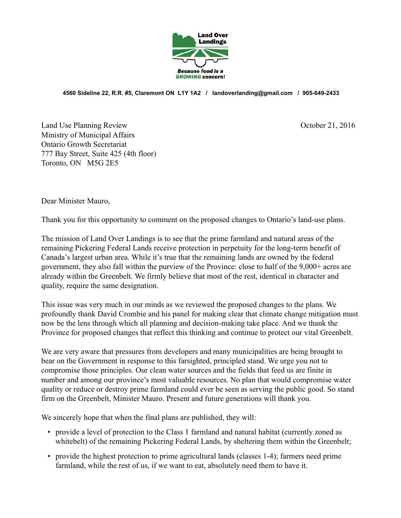

**4560 Sideline 22, R.R. #5, Claremont ON L1Y 1A2 / landoverlanding@gmail.com / 905-649-2433**

Land Use Planning Review Contract of the Use 21, 2016 Ministry of Municipal Affairs Ontario Growth Secretariat 777 Bay Street, Suite 425 (4th floor) Toronto, ON M5G 2E5

Dear Minister Mauro,

Thank you for this opportunity to comment on the proposed changes to Ontario's land-use plans.

The mission of Land Over Landings is to see that the prime farmland and natural areas of the remaining Pickering Federal Lands receive protection in perpetuity for the long-term benefit of Canada's largest urban area. While it's true that the remaining lands are owned by the federal government, they also fall within the purview of the Province: close to half of the 9,000+ acres are already within the Greenbelt. We firmly believe that most of the rest, identical in character and quality, require the same designation.

This issue was very much in our minds as we reviewed the proposed changes to the plans. We profoundly thank David Crombie and his panel for making clear that climate change mitigation must now be the lens through which all planning and decision-making take place. And we thank the Province for proposed changes that reflect this thinking and continue to protect our vital Greenbelt.

We are very aware that pressures from developers and many municipalities are being brought to bear on the Government in response to this farsighted, principled stand. We urge you not to compromise those principles. Our clean water sources and the fields that feed us are finite in number and among our province's most valuable resources. No plan that would compromise water quality or reduce or destroy prime farmland could ever be seen as serving the public good. So stand firm on the Greenbelt, Minister Mauro. Present and future generations will thank you.

We sincerely hope that when the final plans are published, they will:

- provide a level of protection to the Class 1 farmland and natural habitat (currently zoned as whitebelt) of the remaining Pickering Federal Lands, by sheltering them within the Greenbelt;
- provide the highest protection to prime agricultural lands (classes 1-4); farmers need prime farmland, while the rest of us, if we want to eat, absolutely need them to have it.